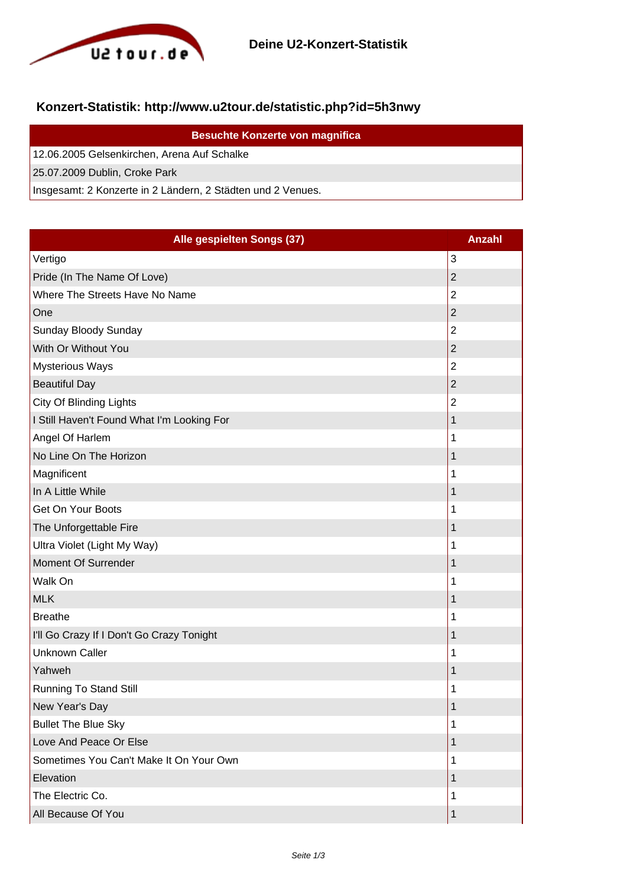

## **Konzert-Statistik: http://www.u2tour.de/statistic.php?id=5h3nwy**

| <b>Besuchte Konzerte von magnifica</b>                      |
|-------------------------------------------------------------|
| 12.06.2005 Gelsenkirchen, Arena Auf Schalke                 |
| 25.07.2009 Dublin, Croke Park                               |
| Insgesamt: 2 Konzerte in 2 Ländern, 2 Städten und 2 Venues. |

| Alle gespielten Songs (37)                 | <b>Anzahl</b>  |
|--------------------------------------------|----------------|
| Vertigo                                    | 3              |
| Pride (In The Name Of Love)                | $\overline{2}$ |
| Where The Streets Have No Name             | $\overline{2}$ |
| One                                        | $\overline{c}$ |
| Sunday Bloody Sunday                       | $\overline{2}$ |
| With Or Without You                        | $\overline{2}$ |
| <b>Mysterious Ways</b>                     | $\overline{2}$ |
| <b>Beautiful Day</b>                       | $\overline{2}$ |
| City Of Blinding Lights                    | $\overline{2}$ |
| I Still Haven't Found What I'm Looking For | 1              |
| Angel Of Harlem                            | 1              |
| No Line On The Horizon                     | $\mathbf 1$    |
| Magnificent                                | 1              |
| In A Little While                          | 1              |
| Get On Your Boots                          | 1              |
| The Unforgettable Fire                     | 1              |
| Ultra Violet (Light My Way)                | 1              |
| Moment Of Surrender                        | 1              |
| Walk On                                    | 1              |
| <b>MLK</b>                                 | 1              |
| <b>Breathe</b>                             | 1              |
| I'll Go Crazy If I Don't Go Crazy Tonight  | 1              |
| <b>Unknown Caller</b>                      | 1              |
| Yahweh                                     | 1              |
| <b>Running To Stand Still</b>              | 1              |
| New Year's Day                             | 1              |
| <b>Bullet The Blue Sky</b>                 | 1              |
| Love And Peace Or Else                     | 1              |
| Sometimes You Can't Make It On Your Own    | 1              |
| Elevation                                  | $\mathbf 1$    |
| The Electric Co.                           | 1              |
| All Because Of You                         | 1              |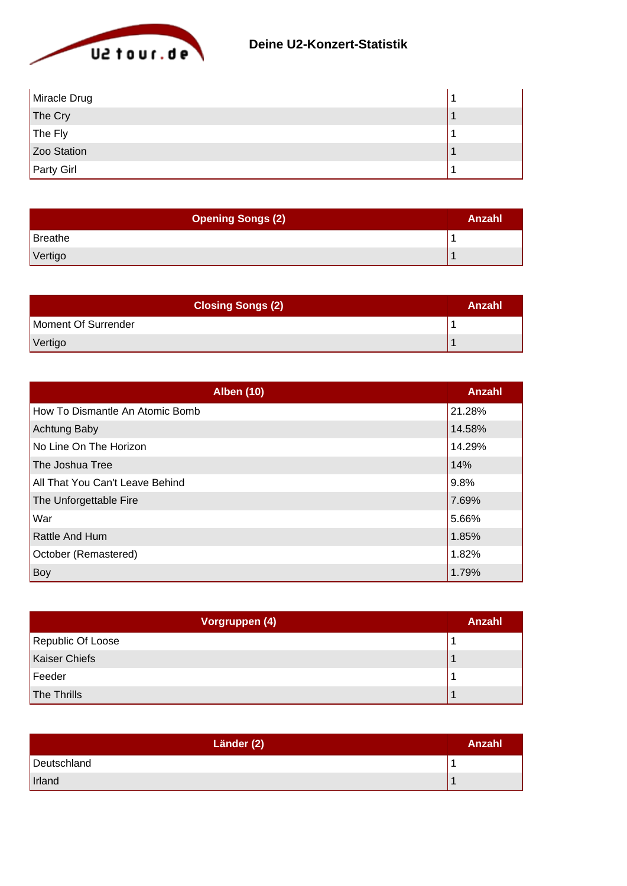

| Miracle Drug      |  |
|-------------------|--|
| The Cry           |  |
| The Fly           |  |
| Zoo Station       |  |
| <b>Party Girl</b> |  |

| <b>Opening Songs (2)</b> | Anzahl |
|--------------------------|--------|
| Breathe                  |        |
| Vertigo                  |        |

| <b>Closing Songs (2)</b> | Anzahl |
|--------------------------|--------|
| Moment Of Surrender      |        |
| Vertigo                  |        |

| <b>Alben (10)</b>               | Anzahl |
|---------------------------------|--------|
| How To Dismantle An Atomic Bomb | 21.28% |
| <b>Achtung Baby</b>             | 14.58% |
| No Line On The Horizon          | 14.29% |
| The Joshua Tree                 | 14%    |
| All That You Can't Leave Behind | 9.8%   |
| The Unforgettable Fire          | 7.69%  |
| War                             | 5.66%  |
| <b>Rattle And Hum</b>           | 1.85%  |
| October (Remastered)            | 1.82%  |
| Boy                             | 1.79%  |

| Vorgruppen (4)       | Anzahl |
|----------------------|--------|
| Republic Of Loose    |        |
| <b>Kaiser Chiefs</b> |        |
| Feeder               |        |
| The Thrills          |        |

| Länder (2)  | Anzahl |
|-------------|--------|
| Deutschland |        |
| Irland      |        |